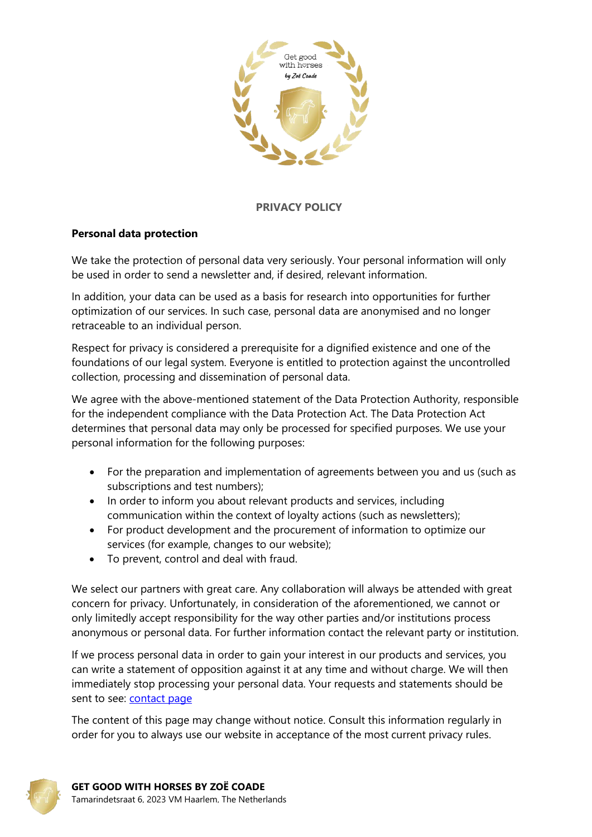

### **PRIVACY POLICY**

#### **Personal data protection**

We take the protection of personal data very seriously. Your personal information will only be used in order to send a newsletter and, if desired, relevant information.

In addition, your data can be used as a basis for research into opportunities for further optimization of our services. In such case, personal data are anonymised and no longer retraceable to an individual person.

Respect for privacy is considered a prerequisite for a dignified existence and one of the foundations of our legal system. Everyone is entitled to protection against the uncontrolled collection, processing and dissemination of personal data.

We agree with the above-mentioned statement of the Data Protection Authority, responsible for the independent compliance with the Data Protection Act. The Data Protection Act determines that personal data may only be processed for specified purposes. We use your personal information for the following purposes:

- For the preparation and implementation of agreements between you and us (such as subscriptions and test numbers);
- In order to inform you about relevant products and services, including communication within the context of loyalty actions (such as newsletters);
- For product development and the procurement of information to optimize our services (for example, changes to our website);
- To prevent, control and deal with fraud.

We select our partners with great care. Any collaboration will always be attended with great concern for privacy. Unfortunately, in consideration of the aforementioned, we cannot or only limitedly accept responsibility for the way other parties and/or institutions process anonymous or personal data. For further information contact the relevant party or institution.

If we process personal data in order to gain your interest in our products and services, you can write a statement of opposition against it at any time and without charge. We will then immediately stop processing your personal data. Your requests and statements should be sent to see: [contact](mailto:info@getgoodwithhorsescourses.com) page

The content of this page may change without notice. Consult this information regularly in order for you to always use our website in acceptance of the most current privacy rules.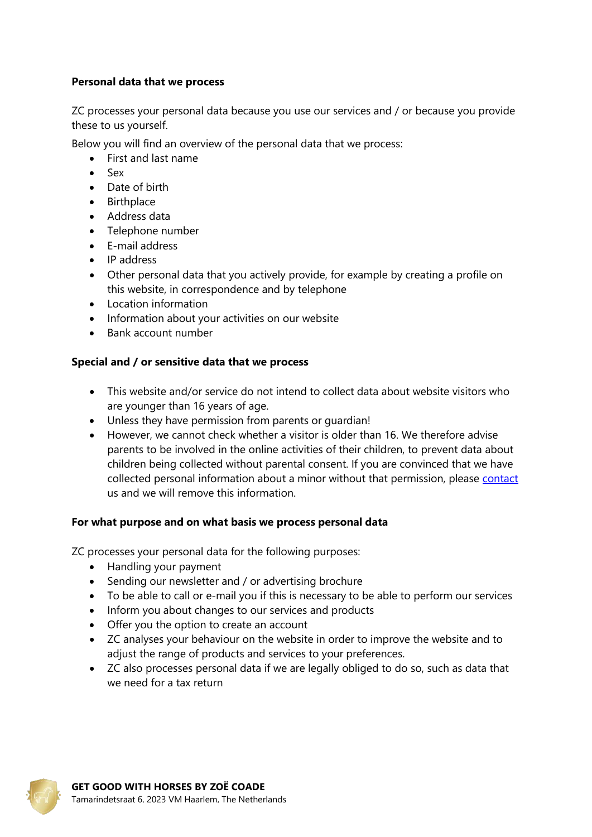# **Personal data that we process**

ZC processes your personal data because you use our services and / or because you provide these to us yourself.

Below you will find an overview of the personal data that we process:

- First and last name
- $-$  Sex
- Date of birth
- Birthplace
- Address data
- Telephone number
- E-mail address
- IP address
- Other personal data that you actively provide, for example by creating a profile on this website, in correspondence and by telephone
- Location information
- Information about your activities on our website
- Bank account number

# **Special and / or sensitive data that we process**

- This website and/or service do not intend to collect data about website visitors who are younger than 16 years of age.
- Unless they have permission from parents or guardian!
- However, we cannot check whether a visitor is older than 16. We therefore advise parents to be involved in the online activities of their children, to prevent data about children being collected without parental consent. If you are convinced that we have collected personal information about a minor without that permission, please [contact](mailto:info@getgoodwithhorsescourses.com) us and we will remove this information.

# **For what purpose and on what basis we process personal data**

ZC processes your personal data for the following purposes:

- Handling your payment
- Sending our newsletter and / or advertising brochure
- To be able to call or e-mail you if this is necessary to be able to perform our services
- Inform you about changes to our services and products
- Offer you the option to create an account
- ZC analyses your behaviour on the website in order to improve the website and to adjust the range of products and services to your preferences.
- ZC also processes personal data if we are legally obliged to do so, such as data that we need for a tax return

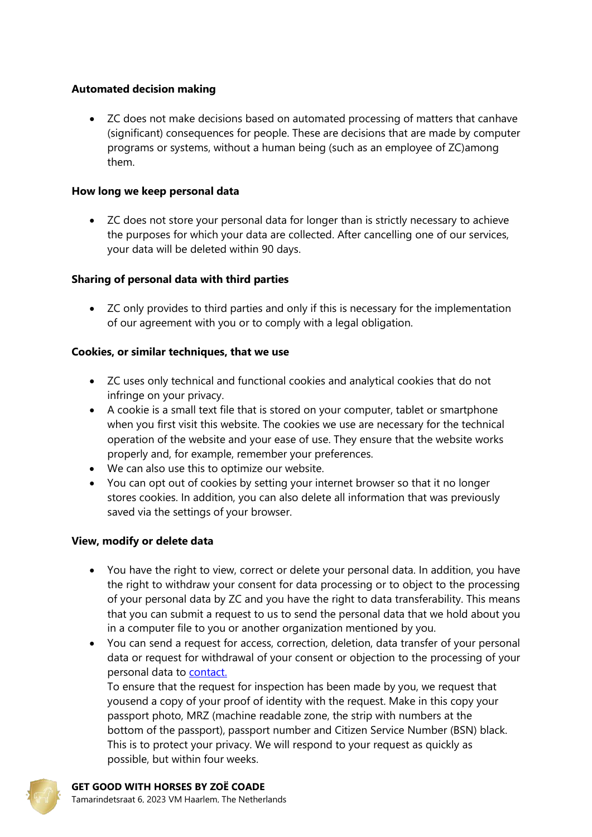# **Automated decision making**

 ZC does not make decisions based on automated processing of matters that canhave (significant) consequences for people. These are decisions that are made by computer programs or systems, without a human being (such as an employee of ZC)among them.

# **How long we keep personal data**

 ZC does not store your personal data for longer than is strictly necessary to achieve the purposes for which your data are collected. After cancelling one of our services, your data will be deleted within 90 days.

# **Sharing of personal data with third parties**

 ZC only provides to third parties and only if this is necessary for the implementation of our agreement with you or to comply with a legal obligation.

# **Cookies, or similar techniques, that we use**

- ZC uses only technical and functional cookies and analytical cookies that do not infringe on your privacy.
- A cookie is a small text file that is stored on your computer, tablet or smartphone when you first visit this website. The cookies we use are necessary for the technical operation of the website and your ease of use. They ensure that the website works properly and, for example, remember your preferences.
- We can also use this to optimize our website.
- You can opt out of cookies by setting your internet browser so that it no longer stores cookies. In addition, you can also delete all information that was previously saved via the settings of your browser.

# **View, modify or delete data**

- You have the right to view, correct or delete your personal data. In addition, you have the right to withdraw your consent for data processing or to object to the processing of your personal data by ZC and you have the right to data transferability. This means that you can submit a request to us to send the personal data that we hold about you in a computer file to you or another organization mentioned by you.
- You can send a request for access, correction, deletion, data transfer of your personal data or request for withdrawal of your consent or objection to the processing of your personal data to [contact.](mailto:info@getgoodwithhorsescourses.com)

To ensure that the request for inspection has been made by you, we request that yousend a copy of your proof of identity with the request. Make in this copy your passport photo, MRZ (machine readable zone, the strip with numbers at the bottom of the passport), passport number and Citizen Service Number (BSN) black. This is to protect your privacy. We will respond to your request as quickly as possible, but within four weeks.

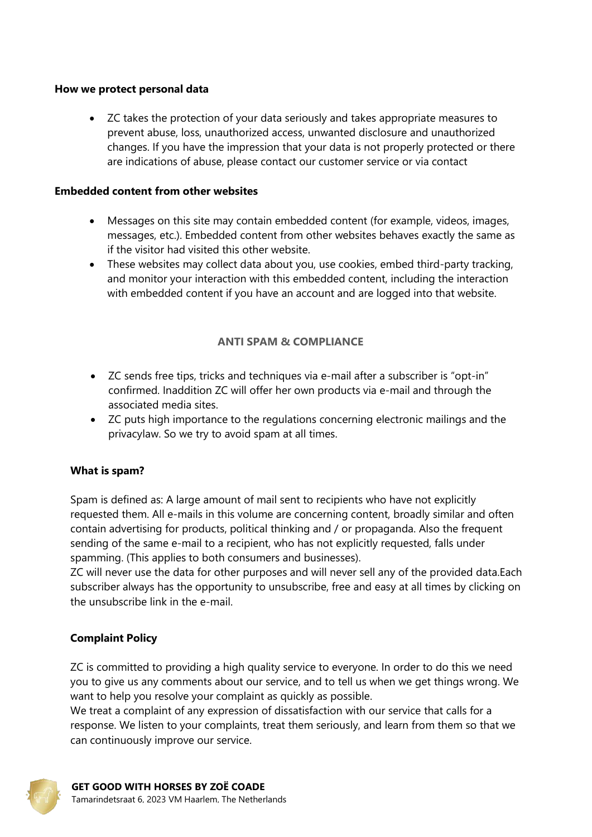### **How we protect personal data**

 ZC takes the protection of your data seriously and takes appropriate measures to prevent abuse, loss, unauthorized access, unwanted disclosure and unauthorized changes. If you have the impression that your data is not properly protected or there are indications of abuse, please contact our customer service or via contact

### **Embedded content from other websites**

- Messages on this site may contain embedded content (for example, videos, images, messages, etc.). Embedded content from other websites behaves exactly the same as if the visitor had visited this other website.
- These websites may collect data about you, use cookies, embed third-party tracking, and monitor your interaction with this embedded content, including the interaction with embedded content if you have an account and are logged into that website.

# **ANTI SPAM & COMPLIANCE**

- ZC sends free tips, tricks and techniques via e-mail after a subscriber is "opt-in" confirmed. Inaddition ZC will offer her own products via e-mail and through the associated media sites.
- ZC puts high importance to the regulations concerning electronic mailings and the privacylaw. So we try to avoid spam at all times.

# **What is spam?**

Spam is defined as: A large amount of mail sent to recipients who have not explicitly requested them. All e-mails in this volume are concerning content, broadly similar and often contain advertising for products, political thinking and / or propaganda. Also the frequent sending of the same e-mail to a recipient, who has not explicitly requested, falls under spamming. (This applies to both consumers and businesses).

ZC will never use the data for other purposes and will never sell any of the provided data.Each subscriber always has the opportunity to unsubscribe, free and easy at all times by clicking on the unsubscribe link in the e-mail.

# **Complaint Policy**

ZC is committed to providing a high quality service to everyone. In order to do this we need you to give us any comments about our service, and to tell us when we get things wrong. We want to help you resolve your complaint as quickly as possible.

We treat a complaint of any expression of dissatisfaction with our service that calls for a response. We listen to your complaints, treat them seriously, and learn from them so that we can continuously improve our service.

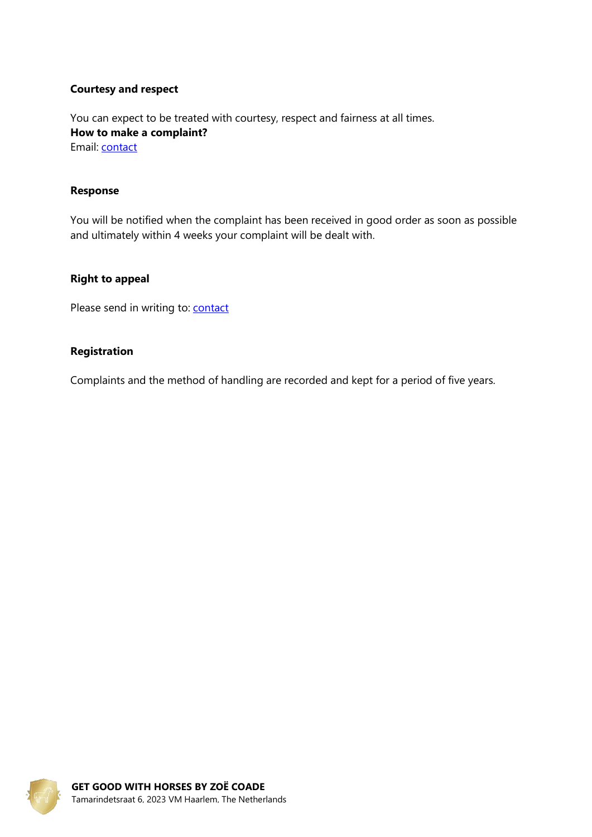### **Courtesy and respect**

You can expect to be treated with courtesy, respect and fairness at all times. **How to make a complaint?** Email: [contact](mailto:info@getgoodwithhorsescourses.com)

#### **Response**

You will be notified when the complaint has been received in good order as soon as possible and ultimately within 4 weeks your complaint will be dealt with.

#### **Right to appeal**

Please send in writing to: **[contact](mailto:info@getgoodwithhorsescourses.com)** 

#### **Registration**

Complaints and the method of handling are recorded and kept for a period of five years.